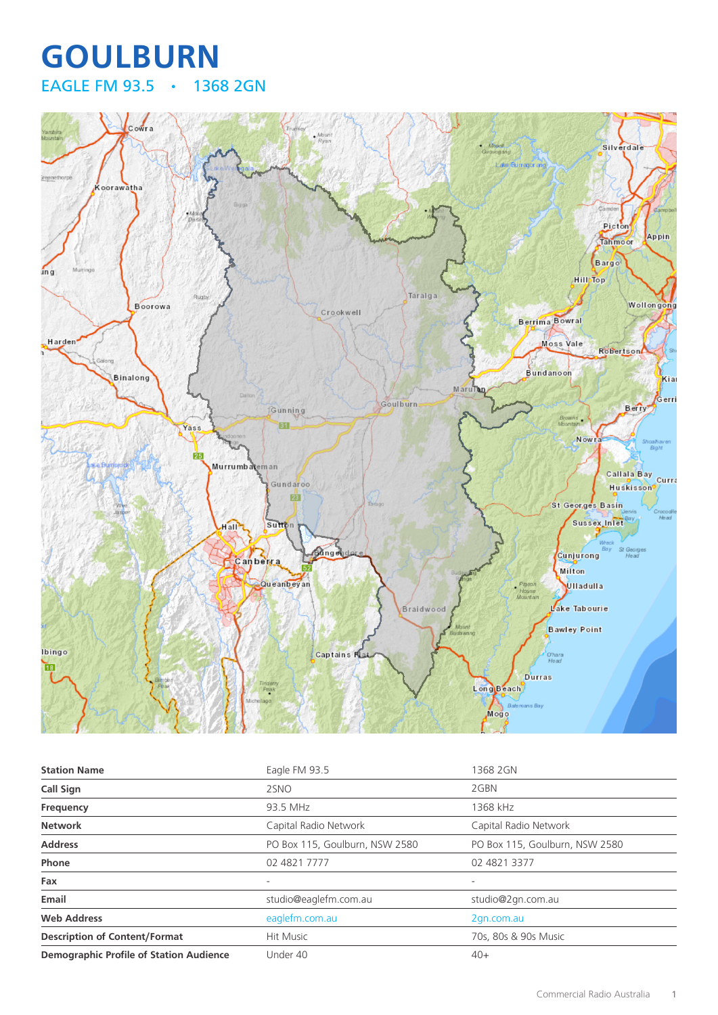## **GOULBURN** EAGLE FM 93.5 • 1368 2GN



| <b>Station Name</b>                            | Eagle FM 93.5                  | 1368 2GN                       |
|------------------------------------------------|--------------------------------|--------------------------------|
| <b>Call Sign</b>                               | 2SNO                           | 2GBN                           |
| <b>Frequency</b>                               | 93.5 MHz                       | 1368 kHz                       |
| <b>Network</b>                                 | Capital Radio Network          | Capital Radio Network          |
| <b>Address</b>                                 | PO Box 115, Goulburn, NSW 2580 | PO Box 115, Goulburn, NSW 2580 |
| Phone                                          | 02 4821 7777                   | 02 4821 3377                   |
| Fax                                            | $\overline{\phantom{a}}$       | ۰                              |
| Email                                          | studio@eaglefm.com.au          | studio@2gn.com.au              |
| <b>Web Address</b>                             | eaglefm.com.au                 | 2gn.com.au                     |
| <b>Description of Content/Format</b>           | <b>Hit Music</b>               | 70s, 80s & 90s Music           |
| <b>Demographic Profile of Station Audience</b> | Under 40                       | $40+$                          |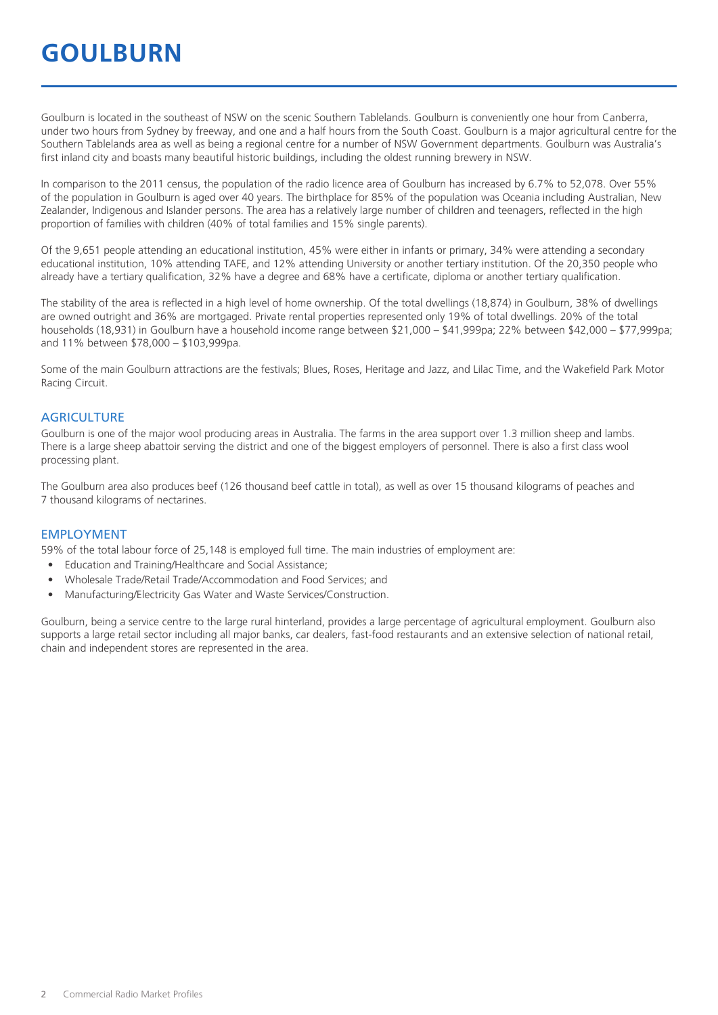## **GOULBURN**

Goulburn is located in the southeast of NSW on the scenic Southern Tablelands. Goulburn is conveniently one hour from Canberra, under two hours from Sydney by freeway, and one and a half hours from the South Coast. Goulburn is a major agricultural centre for the Southern Tablelands area as well as being a regional centre for a number of NSW Government departments. Goulburn was Australia's first inland city and boasts many beautiful historic buildings, including the oldest running brewery in NSW.

In comparison to the 2011 census, the population of the radio licence area of Goulburn has increased by 6.7% to 52,078. Over 55% of the population in Goulburn is aged over 40 years. The birthplace for 85% of the population was Oceania including Australian, New Zealander, Indigenous and Islander persons. The area has a relatively large number of children and teenagers, reflected in the high proportion of families with children (40% of total families and 15% single parents).

Of the 9,651 people attending an educational institution, 45% were either in infants or primary, 34% were attending a secondary educational institution, 10% attending TAFE, and 12% attending University or another tertiary institution. Of the 20,350 people who already have a tertiary qualification, 32% have a degree and 68% have a certificate, diploma or another tertiary qualification.

The stability of the area is reflected in a high level of home ownership. Of the total dwellings (18,874) in Goulburn, 38% of dwellings are owned outright and 36% are mortgaged. Private rental properties represented only 19% of total dwellings. 20% of the total households (18,931) in Goulburn have a household income range between \$21,000 – \$41,999pa; 22% between \$42,000 – \$77,999pa; and 11% between \$78,000 – \$103,999pa.

Some of the main Goulburn attractions are the festivals; Blues, Roses, Heritage and Jazz, and Lilac Time, and the Wakefield Park Motor Racing Circuit.

#### **AGRICULTURE**

Goulburn is one of the major wool producing areas in Australia. The farms in the area support over 1.3 million sheep and lambs. There is a large sheep abattoir serving the district and one of the biggest employers of personnel. There is also a first class wool processing plant.

The Goulburn area also produces beef (126 thousand beef cattle in total), as well as over 15 thousand kilograms of peaches and 7 thousand kilograms of nectarines.

#### EMPLOYMENT

59% of the total labour force of 25,148 is employed full time. The main industries of employment are:

- Education and Training/Healthcare and Social Assistance;
- Wholesale Trade/Retail Trade/Accommodation and Food Services; and
- Manufacturing/Electricity Gas Water and Waste Services/Construction.

Goulburn, being a service centre to the large rural hinterland, provides a large percentage of agricultural employment. Goulburn also supports a large retail sector including all major banks, car dealers, fast-food restaurants and an extensive selection of national retail, chain and independent stores are represented in the area.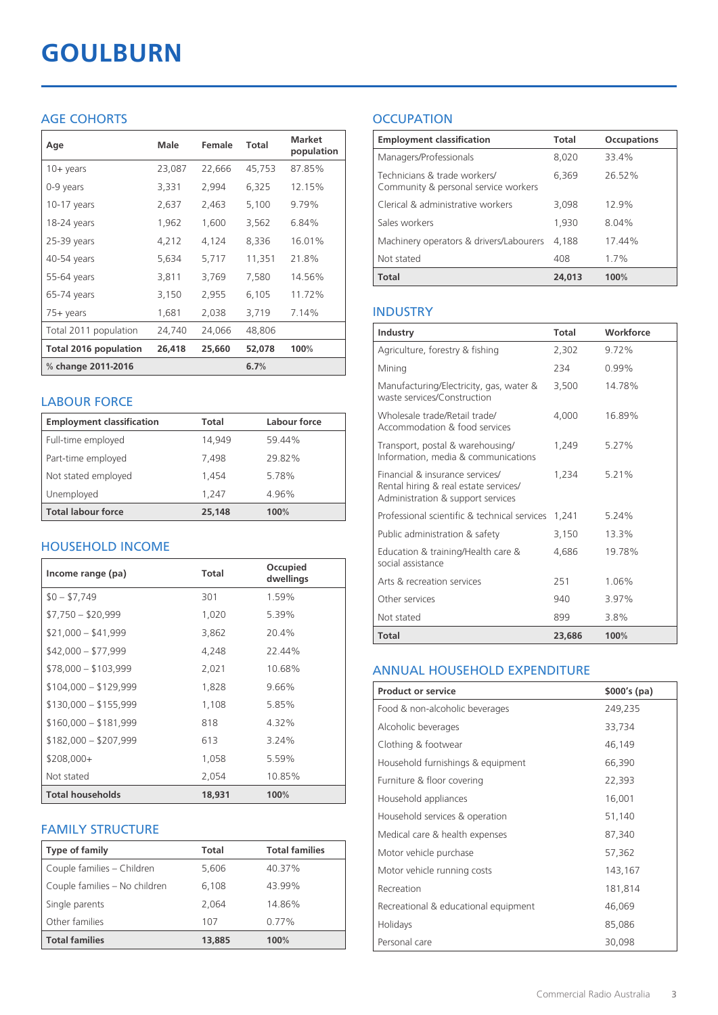# **GOULBURN**

## AGE COHORTS

| Age                          | <b>Male</b> | Female | <b>Total</b> | <b>Market</b><br>population |
|------------------------------|-------------|--------|--------------|-----------------------------|
| $10+$ years                  | 23,087      | 22,666 | 45,753       | 87.85%                      |
| 0-9 years                    | 3,331       | 2,994  | 6,325        | 12.15%                      |
| $10-17$ years                | 2,637       | 2,463  | 5,100        | 9.79%                       |
| 18-24 years                  | 1,962       | 1,600  | 3,562        | 6.84%                       |
| $25-39$ years                | 4,212       | 4,124  | 8,336        | 16.01%                      |
| 40-54 years                  | 5,634       | 5,717  | 11,351       | 21.8%                       |
| 55-64 years                  | 3,811       | 3,769  | 7,580        | 14.56%                      |
| 65-74 years                  | 3,150       | 2,955  | 6,105        | 11.72%                      |
| 75+ years                    | 1,681       | 2,038  | 3,719        | 7.14%                       |
| Total 2011 population        | 24,740      | 24,066 | 48,806       |                             |
| <b>Total 2016 population</b> | 26,418      | 25,660 | 52,078       | 100%                        |
| % change 2011-2016           |             |        | 6.7%         |                             |

### LABOUR FORCE

| <b>Employment classification</b> | Total  | Labour force |
|----------------------------------|--------|--------------|
| Full-time employed               | 14.949 | 59.44%       |
| Part-time employed               | 7.498  | 29.82%       |
| Not stated employed              | 1.454  | 5.78%        |
| Unemployed                       | 1.247  | 4.96%        |
| <b>Total labour force</b>        | 25,148 | 100%         |

## HOUSEHOLD INCOME

| Income range (pa)       | Total  | Occupied<br>dwellings |
|-------------------------|--------|-----------------------|
| $$0 - $7,749$           | 301    | 1.59%                 |
| $$7,750 - $20,999$      | 1,020  | 5.39%                 |
| $$21,000 - $41,999$     | 3,862  | 20.4%                 |
| $$42,000 - $77,999$     | 4,248  | 22.44%                |
| $$78,000 - $103,999$    | 2,021  | 10.68%                |
| $$104,000 - $129,999$   | 1,828  | 9.66%                 |
| $$130,000 - $155,999$   | 1,108  | 5.85%                 |
| $$160,000 - $181,999$   | 818    | 4.32%                 |
| $$182,000 - $207,999$   | 613    | 3.24%                 |
| $$208,000+$             | 1,058  | 5.59%                 |
| Not stated              | 2,054  | 10.85%                |
| <b>Total households</b> | 18,931 | 100%                  |

## FAMILY STRUCTURE

| <b>Type of family</b>         | Total  | <b>Total families</b> |
|-------------------------------|--------|-----------------------|
| Couple families - Children    | 5,606  | 40.37%                |
| Couple families - No children | 6.108  | 43.99%                |
| Single parents                | 2.064  | 14.86%                |
| Other families                | 107    | $0.77\%$              |
| <b>Total families</b>         | 13,885 | 100%                  |

## **OCCUPATION**

| <b>Employment classification</b>                                     | <b>Total</b> | <b>Occupations</b> |
|----------------------------------------------------------------------|--------------|--------------------|
| Managers/Professionals                                               | 8,020        | 33.4%              |
| Technicians & trade workers/<br>Community & personal service workers | 6,369        | 2652%              |
| Clerical & administrative workers                                    | 3,098        | 129%               |
| Sales workers                                                        | 1,930        | 8.04%              |
| Machinery operators & drivers/Labourers                              | 4.188        | 17.44%             |
| Not stated                                                           | 408          | $1.7\%$            |
| <b>Total</b>                                                         | 24,013       | 100%               |

## INDUSTRY

| Industry                                                                                                      | <b>Total</b> | Workforce |
|---------------------------------------------------------------------------------------------------------------|--------------|-----------|
| Agriculture, forestry & fishing                                                                               | 2,302        | $9.72\%$  |
| Mining                                                                                                        | 234          | 0.99%     |
| Manufacturing/Electricity, gas, water &<br>waste services/Construction                                        | 3,500        | 14.78%    |
| Wholesale trade/Retail trade/<br>Accommodation & food services                                                | 4.000        | 16.89%    |
| Transport, postal & warehousing/<br>Information, media & communications                                       | 1,249        | 5.27%     |
| Financial & insurance services/<br>Rental hiring & real estate services/<br>Administration & support services | 1.234        | 5.21%     |
| Professional scientific & technical services                                                                  | 1.241        | 5.24%     |
| Public administration & safety                                                                                | 3,150        | 13.3%     |
| Education & training/Health care &<br>social assistance                                                       | 4,686        | 19.78%    |
| Arts & recreation services                                                                                    | 251          | 1.06%     |
| Other services                                                                                                | 940          | 3.97%     |
| Not stated                                                                                                    | 899          | 3.8%      |
| Total                                                                                                         | 23,686       | 100%      |

## ANNUAL HOUSEHOLD EXPENDITURE

| <b>Product or service</b>            | $$000's$ (pa) |
|--------------------------------------|---------------|
| Food & non-alcoholic beverages       | 249,235       |
| Alcoholic beverages                  | 33,734        |
| Clothing & footwear                  | 46,149        |
| Household furnishings & equipment    | 66,390        |
| Furniture & floor covering           | 22,393        |
| Household appliances                 | 16,001        |
| Household services & operation       | 51,140        |
| Medical care & health expenses       | 87,340        |
| Motor vehicle purchase               | 57,362        |
| Motor vehicle running costs          | 143,167       |
| Recreation                           | 181,814       |
| Recreational & educational equipment | 46,069        |
| Holidays                             | 85,086        |
| Personal care                        | 30,098        |